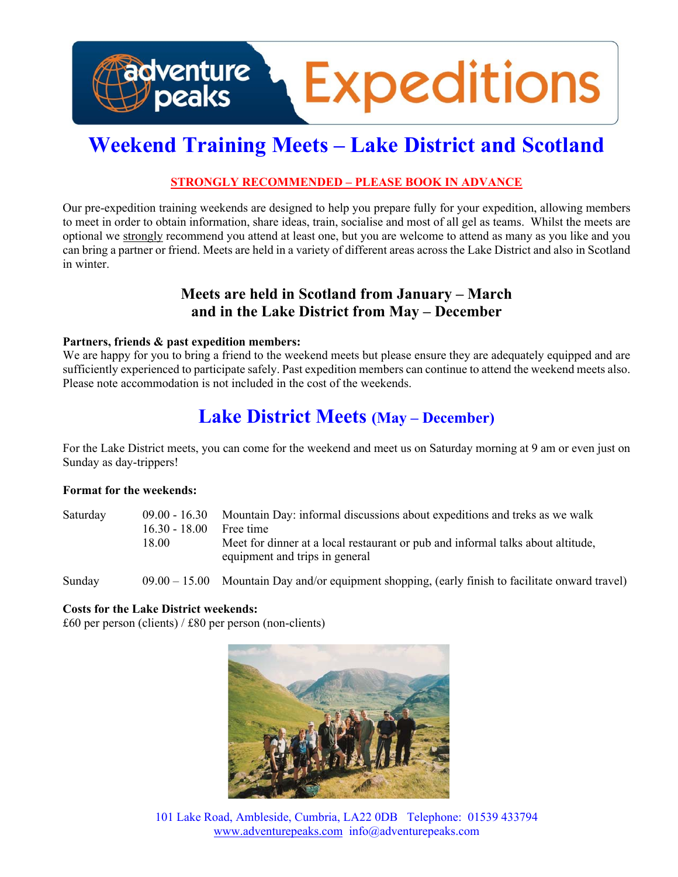

# **Weekend Training Meets – Lake District and Scotland**

### **STRONGLY RECOMMENDED – PLEASE BOOK IN ADVANCE**

Our pre-expedition training weekends are designed to help you prepare fully for your expedition, allowing members to meet in order to obtain information, share ideas, train, socialise and most of all gel as teams. Whilst the meets are optional we strongly recommend you attend at least one, but you are welcome to attend as many as you like and you can bring a partner or friend. Meets are held in a variety of different areas across the Lake District and also in Scotland in winter.

# **Meets are held in Scotland from January – March and in the Lake District from May – December**

#### **Partners, friends & past expedition members:**

We are happy for you to bring a friend to the weekend meets but please ensure they are adequately equipped and are sufficiently experienced to participate safely. Past expedition members can continue to attend the weekend meets also. Please note accommodation is not included in the cost of the weekends.

# **Lake District Meets (May – December)**

For the Lake District meets, you can come for the weekend and meet us on Saturday morning at 9 am or even just on Sunday as day-trippers!

#### **Format for the weekends:**

| Saturday | $16.30 - 18.00$ | $09.00 - 16.30$ Mountain Day: informal discussions about expeditions and treks as we walk<br>Free time            |  |
|----------|-----------------|-------------------------------------------------------------------------------------------------------------------|--|
|          | 18.00           | Meet for dinner at a local restaurant or pub and informal talks about altitude,<br>equipment and trips in general |  |
| Sunday   |                 | $09.00 - 15.00$ Mountain Day and/or equipment shopping, (early finish to facilitate onward travel)                |  |

### **Costs for the Lake District weekends:**

£60 per person (clients) /  $£80$  per person (non-clients)



101 Lake Road, Ambleside, Cumbria, LA22 0DB Telephone: 01539 433794 www.adventurepeaks.com info@adventurepeaks.com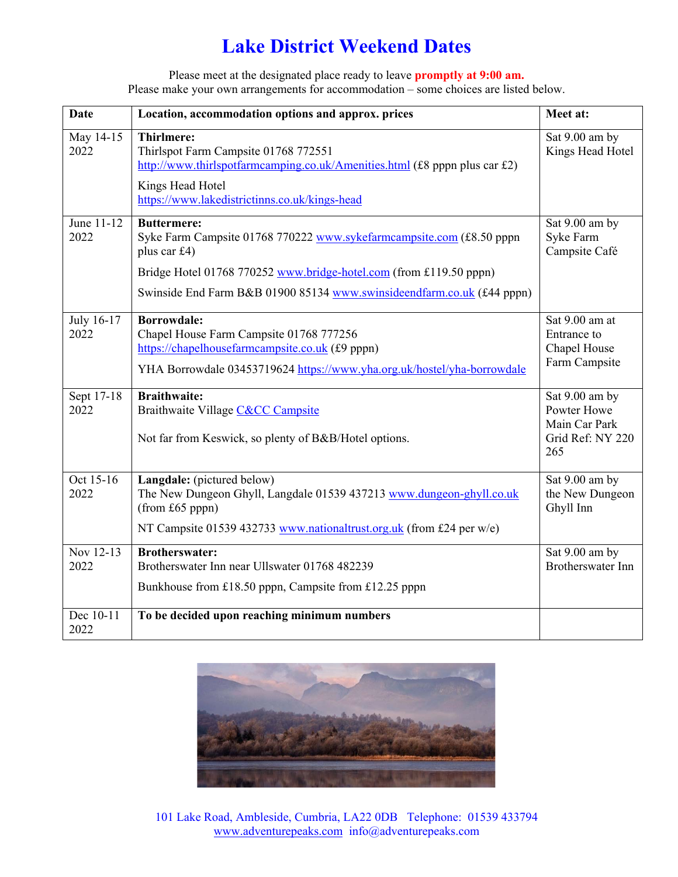# **Lake District Weekend Dates**

Please meet at the designated place ready to leave **promptly at 9:00 am.** Please make your own arrangements for accommodation – some choices are listed below.

| <b>Date</b>        | Location, accommodation options and approx. prices                                                                                                                                          | Meet at:                                                       |
|--------------------|---------------------------------------------------------------------------------------------------------------------------------------------------------------------------------------------|----------------------------------------------------------------|
| May 14-15<br>2022  | <b>Thirlmere:</b><br>Thirlspot Farm Campsite 01768 772551<br>http://www.thirlspotfarmcamping.co.uk/Amenities.html (£8 pppn plus car £2)<br>Kings Head Hotel                                 | Sat 9.00 am by<br>Kings Head Hotel                             |
|                    | https://www.lakedistrictinns.co.uk/kings-head                                                                                                                                               | Sat 9.00 am by                                                 |
| June 11-12<br>2022 | <b>Buttermere:</b><br>Syke Farm Campsite 01768 770222 www.sykefarmcampsite.com (£8.50 pppn<br>plus car £4)                                                                                  |                                                                |
|                    | Bridge Hotel 01768 770252 www.bridge-hotel.com (from £119.50 pppn)                                                                                                                          |                                                                |
|                    | Swinside End Farm B&B 01900 85134 www.swinsideendfarm.co.uk (£44 pppn)                                                                                                                      |                                                                |
| July 16-17<br>2022 | <b>Borrowdale:</b><br>Chapel House Farm Campsite 01768 777256<br>https://chapelhousefarmcampsite.co.uk (£9 pppn)<br>YHA Borrowdale 03453719624 https://www.yha.org.uk/hostel/yha-borrowdale | Sat 9.00 am at<br>Entrance to<br>Chapel House<br>Farm Campsite |
| Sept 17-18         | <b>Braithwaite:</b>                                                                                                                                                                         | Sat 9.00 am by                                                 |
| 2022               | Braithwaite Village C&CC Campsite<br>Not far from Keswick, so plenty of B&B/Hotel options.                                                                                                  | Powter Howe<br>Main Car Park<br>Grid Ref: NY 220               |
|                    |                                                                                                                                                                                             | 265                                                            |
| Oct 15-16<br>2022  | Langdale: (pictured below)<br>The New Dungeon Ghyll, Langdale 01539 437213 www.dungeon-ghyll.co.uk<br>$(from £65$ pppn $)$                                                                  | Sat 9.00 am by<br>the New Dungeon<br>Ghyll Inn                 |
|                    | NT Campsite 01539 432733 www.nationaltrust.org.uk (from £24 per w/e)                                                                                                                        |                                                                |
| Nov 12-13<br>2022  | <b>Brotherswater:</b><br>Brotherswater Inn near Ullswater 01768 482239                                                                                                                      | Sat 9.00 am by<br><b>Brotherswater Inn</b>                     |
|                    | Bunkhouse from £18.50 pppn, Campsite from £12.25 pppn                                                                                                                                       |                                                                |
| Dec 10-11<br>2022  | To be decided upon reaching minimum numbers                                                                                                                                                 |                                                                |



101 Lake Road, Ambleside, Cumbria, LA22 0DB Telephone: 01539 433794 www.adventurepeaks.com info@adventurepeaks.com